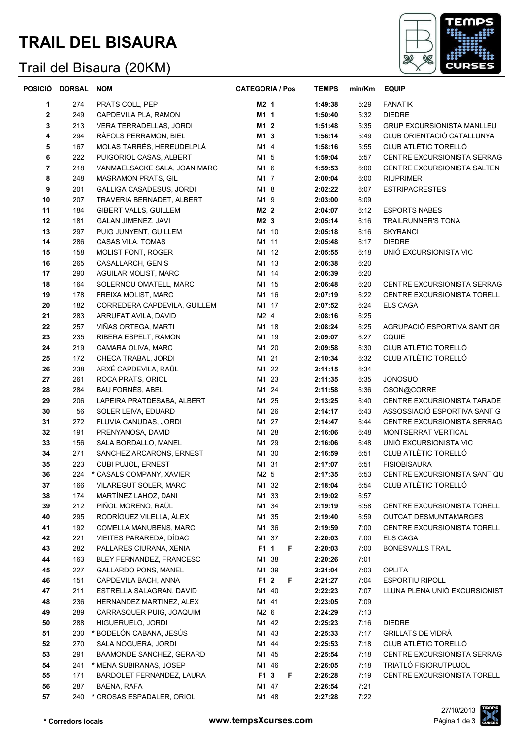# **TRAIL DEL BISAURA**

### Trail del Bisaura (20KM)



| <b>POSICIO</b> | <b>DORSAL</b> | <b>NOM</b>                      | <b>CATEGORIA / Pos</b> | <b>TEMPS</b> | min/Km | <b>EQUIP</b>                       |
|----------------|---------------|---------------------------------|------------------------|--------------|--------|------------------------------------|
| 1              | 274           | PRATS COLL, PEP                 | M2 1                   | 1:49:38      | 5:29   | <b>FANATIK</b>                     |
| $\mathbf{2}$   | 249           | CAPDEVILA PLA, RAMON            | M1 1                   | 1:50:40      | 5:32   | <b>DIEDRE</b>                      |
| 3              | 213           | VERA TERRADELLAS, JORDI         | M1 2                   | 1:51:48      | 5:35   | <b>GRUP EXCURSIONISTA MANLLEU</b>  |
| 4              | 294           | RÀFOLS PERRAMON, BIEL           | M1 3                   | 1:56:14      | 5:49   | CLUB ORIENTACIÓ CATALLUNYA         |
| 5              | 167           | MOLAS TARRÉS, HEREUDELPLÀ       | M1 4                   | 1:58:16      | 5:55   | CLUB ATLÈTIC TORELLÓ               |
| 6              | 222           | PUIGORIOL CASAS, ALBERT         | M1 5                   | 1:59:04      | 5:57   | CENTRE EXCURSIONISTA SERRAG        |
| $\overline{7}$ | 218           | VANMAELSACKE SALA, JOAN MARC    | M1 6                   | 1:59:53      | 6:00   | CENTRE EXCURSIONISTA SALTEN        |
| 8              | 248           | MASRAMON PRATS, GIL             | M1 7                   | 2:00:04      | 6:00   | <b>RIUPRIMER</b>                   |
| 9              | 201           | GALLIGA CASADESUS, JORDI        | M1 8                   | 2:02:22      | 6:07   | <b>ESTRIPACRESTES</b>              |
| 10             | 207           | TRAVERIA BERNADET, ALBERT       | M1 9                   | 2:03:00      | 6:09   |                                    |
| 11             | 184           | <b>GIBERT VALLS, GUILLEM</b>    | M2 2                   | 2:04:07      | 6:12   | <b>ESPORTS NABES</b>               |
| 12             | 181           | <b>GALAN JIMENEZ, JAVI</b>      | M2 3                   | 2:05:14      | 6:16   | <b>TRAILRUNNER'S TONA</b>          |
| 13             | 297           | PUIG JUNYENT, GUILLEM           | M1 10                  | 2:05:18      | 6:16   | <b>SKYRANCI</b>                    |
| 14             | 286           | CASAS VILA, TOMAS               | M1 11                  | 2:05:48      | 6:17   | <b>DIEDRE</b>                      |
| 15             | 158           | MOLIST FONT, ROGER              | M1 12                  | 2:05:55      | 6:18   | UNIÓ EXCURSIONISTA VIC             |
| 16             | 265           | CASALLARCH, GENIS               | M1 13                  | 2:06:38      | 6:20   |                                    |
| 17             | 290           | AGUILAR MOLIST, MARC            | M1 14                  | 2:06:39      | 6:20   |                                    |
| 18             | 164           | SOLERNOU OMATELL, MARC          | M1 15                  | 2:06:48      | 6:20   | CENTRE EXCURSIONISTA SERRAG        |
| 19             | 178           | FREIXA MOLIST, MARC             | M1 16                  | 2:07:19      | 6:22   | CENTRE EXCURSIONISTA TORELL        |
| 20             | 182           | CORREDERA CAPDEVILA, GUILLEM    | M1 17                  | 2:07:52      | 6:24   | <b>ELS CAGA</b>                    |
| 21             | 283           | ARRUFAT AVILA, DAVID            | M2 4                   | 2:08:16      | 6:25   |                                    |
| 22             | 257           | VIÑAS ORTEGA, MARTI             | M1 18                  | 2:08:24      | 6:25   | AGRUPACIÓ ESPORTIVA SANT GR        |
| 23             | 235           | RIBERA ESPELT, RAMON            | M1 19                  | 2:09:07      | 6:27   | <b>CQUIE</b>                       |
| 24             | 219           | CAMARA OLIVA, MARC              | M1 20                  | 2:09:58      | 6:30   | CLUB ATLÈTIC TORELLÓ               |
| 25             | 172           | CHECA TRABAL, JORDI             | M1 21                  | 2:10:34      | 6:32   | CLUB ATLÈTIC TORELLÓ               |
| 26             | 238           | ARXÉ CAPDEVILA, RAÜL            | M1 22                  | 2:11:15      | 6:34   |                                    |
| 27             | 261           | ROCA PRATS, ORIOL               | M1 23                  | 2:11:35      | 6:35   | <b>JONOSUO</b>                     |
| 28             | 284           | <b>BAU FORNÉS, ABEL</b>         | M1 24                  | 2:11:58      | 6:36   | OSON@CORRE                         |
| 29             | 206           | LAPEIRA PRATDESABA, ALBERT      | M1 25                  | 2:13:25      | 6:40   | CENTRE EXCURSIONISTA TARADE        |
| 30             | 56            | SOLER LEIVA, EDUARD             | M1 26                  | 2:14:17      | 6:43   | ASSOSSIACIÓ ESPORTIVA SANT G       |
| 31             | 272           | FLUVIA CANUDAS, JORDI           | M1 27                  | 2:14:47      | 6:44   | <b>CENTRE EXCURSIONISTA SERRAG</b> |
| 32             | 191           | PRENYANOSA, DAVID               | M1 28                  | 2:16:06      | 6:48   | MONTSERRAT VERTICAL                |
| 33             | 156           | SALA BORDALLO, MANEL            | M1 29                  | 2:16:06      | 6:48   | UNIÓ EXCURSIONISTA VIC             |
| 34             | 271           | SANCHEZ ARCARONS, ERNEST        | M1 30                  | 2:16:59      | 6:51   | CLUB ATLÈTIC TORELLÓ               |
| 35             | 223           | CUBI PUJOL, ERNEST              | M1 31                  | 2:17:07      | 6:51   | <b>FISIOBISAURA</b>                |
| 36             | 224           | * CASALS COMPANY, XAVIER        | M2 5                   | 2:17:35      | 6:53   | CENTRE EXCURSIONISTA SANT QU       |
| 37             | 166           | VILAREGUT SOLER, MARC           | M1 32                  | 2:18:04      | 6:54   | CLUB ATLÈTIC TORELLÓ               |
| 38             | 174           | MARTÍNEZ LAHOZ, DANI            | M1 33                  | 2:19:02      | 6:57   |                                    |
| 39             | 212           | PIÑOL MORENO, RAÜL              | M1 34                  | 2:19:19      | 6:58   | CENTRE EXCURSIONISTA TORELL        |
| 40             | 295           | RODRÍGUEZ VILELLA, ÀLEX         | M1 35                  | 2:19:40      | 6:59   | OUTCAT DESMUNTAMARGES              |
| 41             | 192           | COMELLA MANUBENS, MARC          | M1 36                  | 2:19:59      | 7:00   | CENTRE EXCURSIONISTA TORELL        |
| 42             | 221           | VIEITES PARAREDA, DÍDAC         | M1 37                  | 2:20:03      | 7:00   | <b>ELS CAGA</b>                    |
| 43             | 282           | PALLARES CIURANA, XENIA         | F1 1<br>F              | 2:20:03      | 7:00   | <b>BONESVALLS TRAIL</b>            |
| 44             | 163           | BLEY FERNANDEZ, FRANCESC        | M1 38                  | 2:20:26      | 7:01   |                                    |
| 45             | 227           | <b>GALLARDO PONS, MANEL</b>     | M1 39                  | 2:21:04      | 7:03   | <b>OPLITA</b>                      |
| 46             | 151           | CAPDEVILA BACH, ANNA            | F1 2<br>F.             | 2:21:27      | 7:04   | <b>ESPORTIU RIPOLL</b>             |
| 47             | 211           | ESTRELLA SALAGRAN, DAVID        | M1 40                  | 2:22:23      | 7:07   | LLUNA PLENA UNIÓ EXCURSIONIST      |
| 48             | 236           | HERNANDEZ MARTINEZ, ALEX        | M1 41                  | 2:23:05      | 7:09   |                                    |
| 49             | 289           | CARRASQUER PUIG, JOAQUIM        | M2 6                   | 2:24:29      | 7:13   |                                    |
| 50             | 288           | HIGUERUELO, JORDI               | M1 42                  | 2:25:23      | 7:16   | <b>DIEDRE</b>                      |
| 51             | 230           | * BODELÓN CABANA, JESÚS         | M1 43                  | 2:25:33      | 7:17   | <b>GRILLATS DE VIDRÀ</b>           |
| 52             | 270           | SALA NOGUERA, JORDI             | M1 44                  | 2:25:53      | 7:18   | CLUB ATLÈTIC TORELLÓ               |
| 53             | 291           | <b>BAAMONDE SANCHEZ, GERARD</b> | M1 45                  | 2:25:54      | 7:18   | CENTRE EXCURSIONISTA SERRAG        |
| 54             | 241           | * MENA SUBIRANAS, JOSEP         | M1 46                  | 2:26:05      | 7:18   | TRIATLÓ FISIORUTPUJOL              |
| 55             | 171           | BARDOLET FERNANDEZ, LAURA       | F1 3<br>F              | 2:26:28      | 7:19   | CENTRE EXCURSIONISTA TORELL        |
| 56             | 287           | BAENA, RAFA                     | M1 47                  | 2:26:54      | 7:21   |                                    |
| 57             |               | 240 * CROSAS ESPADALER, ORIOL   | M1 48                  | 2:27:28      | 7:22   |                                    |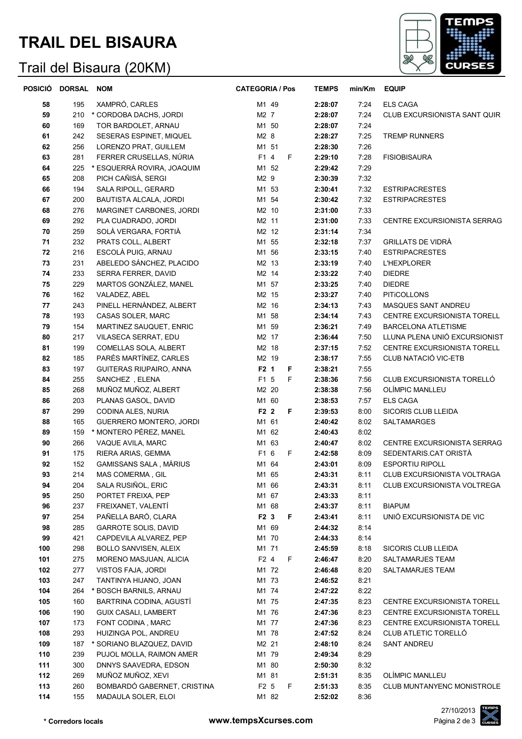# **TRAIL DEL BISAURA**

### Trail del Bisaura (20KM)



|     | POSICIÓ DORSAL | <b>NOM</b>                    | <b>CATEGORIA / Pos</b> | <b>TEMPS</b> | min/Km | <b>EQUIP</b>                  |
|-----|----------------|-------------------------------|------------------------|--------------|--------|-------------------------------|
| 58  | 195            | XAMPRÓ, CARLES                | M1 49                  | 2:28:07      | 7:24   | <b>ELS CAGA</b>               |
| 59  | 210            | * CORDOBA DACHS, JORDI        | M2 7                   | 2:28:07      | 7:24   | CLUB EXCURSIONISTA SANT QUIR  |
| 60  | 169            | TOR BARDOLET, ARNAU           | M1 50                  | 2:28:07      | 7:24   |                               |
| 61  | 242            | SESERAS ESPINET, MIQUEL       | M2 8                   | 2:28:27      | 7:25   | <b>TREMP RUNNERS</b>          |
| 62  | 256            | LORENZO PRAT, GUILLEM         | M1 51                  | 2:28:30      | 7:26   |                               |
| 63  | 281            | FERRER CRUSELLAS, NÚRIA       | F1 4<br>F              | 2:29:10      | 7:28   | <b>FISIOBISAURA</b>           |
| 64  | 225            | * ESQUERRÀ ROVIRA, JOAQUIM    | M1 52                  | 2:29:42      | 7:29   |                               |
| 65  | 208            | PICH CAÑISÀ, SERGI            | M2 9                   | 2:30:39      | 7:32   |                               |
| 66  | 194            | SALA RIPOLL, GERARD           | M1 53                  | 2:30:41      | 7:32   | <b>ESTRIPACRESTES</b>         |
| 67  | 200            | <b>BAUTISTA ALCALA, JORDI</b> | M1 54                  | 2:30:42      | 7:32   | <b>ESTRIPACRESTES</b>         |
| 68  | 276            | MARGINET CARBONES, JORDI      | M2 10                  | 2:31:00      | 7:33   |                               |
| 69  | 292            | PLA CUADRADO, JORDI           | M2 11                  | 2:31:00      | 7:33   | CENTRE EXCURSIONISTA SERRAG   |
| 70  | 259            | SOLÀ VERGARA, FORTIÀ          | M2 12                  | 2:31:14      | 7:34   |                               |
| 71  | 232            | PRATS COLL, ALBERT            | M1 55                  | 2:32:18      | 7:37   | <b>GRILLATS DE VIDRÀ</b>      |
| 72  | 216            | ESCOLÀ PUIG, ARNAU            | M1 56                  | 2:33:15      | 7:40   | <b>ESTRIPACRESTES</b>         |
| 73  | 231            | ABELEDO SÁNCHEZ, PLACIDO      | M2 13                  | 2:33:19      | 7:40   | <b>L'HEXPLORER</b>            |
| 74  | 233            | SERRA FERRER, DAVID           | M2 14                  | 2:33:22      | 7:40   | <b>DIEDRE</b>                 |
| 75  | 229            | MARTOS GONZÁLEZ, MANEL        | M1 57                  | 2:33:25      | 7:40   | <b>DIEDRE</b>                 |
| 76  | 162            | VALADEZ, ABEL                 | M2 15                  | 2:33:27      | 7:40   | <b>PITICOLLONS</b>            |
| 77  | 243            | PINELL HERNÀNDEZ, ALBERT      | M2 16                  | 2:34:13      | 7:43   | MASQUES SANT ANDREU           |
| 78  | 193            | CASAS SOLER, MARC             | M1 58                  | 2:34:14      | 7:43   | CENTRE EXCURSIONISTA TORELL   |
| 79  | 154            | MARTINEZ SAUQUET, ENRIC       | M1 59                  | 2:36:21      | 7:49   | <b>BARCELONA ATLETISME</b>    |
| 80  | 217            | VILASECA SERRAT, EDU          | M2 17                  | 2:36:44      | 7:50   | LLUNA PLENA UNIÓ EXCURSIONIST |
| 81  | 199            | COMELLAS SOLA, ALBERT         | M2 18                  | 2:37:15      | 7:52   | CENTRE EXCURSIONISTA TORELL   |
| 82  | 185            | PARÉS MARTÍNEZ, CARLES        | M2 19                  | 2:38:17      | 7:55   | CLUB NATACIÓ VIC-ETB          |
| 83  | 197            | GUITERAS RIUPAIRO, ANNA       | F2 1<br>F              | 2:38:21      | 7:55   |                               |
| 84  | 255            | SANCHEZ, ELENA                | F1 5<br>F              | 2:38:36      | 7:56   | CLUB EXCURSIONISTA TORELLÓ    |
| 85  | 268            | MUÑOZ MUÑOZ, ALBERT           | M2 20                  | 2:38:38      | 7:56   | OLÍMPIC MANLLEU               |
| 86  | 203            | PLANAS GASOL, DAVID           | M1 60                  | 2:38:53      | 7:57   | <b>ELS CAGA</b>               |
| 87  | 299            | CODINA ALES, NURIA            | F2 2<br>F              | 2:39:53      | 8:00   | SICORIS CLUB LLEIDA           |
| 88  | 165            | GUERRERO MONTERO, JORDI       | M1 61                  | 2:40:42      | 8:02   | <b>SALTAMARGES</b>            |
| 89  | 159            | * MONTERO PÉREZ, MANEL        | M1 62                  | 2:40:43      | 8:02   |                               |
| 90  | 266            | VAQUE AVILA, MARC             | M1 63                  | 2:40:47      | 8:02   | CENTRE EXCURSIONISTA SERRAG   |
| 91  | 175            | RIERA ARIAS, GEMMA            | F1 6<br>F              | 2:42:58      | 8:09   | SEDENTARIS.CAT ORISTÀ         |
| 92  | 152            | GAMISSANS SALA, MÀRIUS        | M1 64                  | 2:43:01      | 8:09   | <b>ESPORTIU RIPOLL</b>        |
| 93  | 214            | MAS COMERMA, GIL              | M1 65                  | 2:43:31      | 8:11   | CLUB EXCURSIONISTA VOLTRAGA   |
| 94  | 204            | SALA RUSIÑOL, ERIC            | M1 66                  | 2:43:31      | 8:11   | CLUB EXCURSIONISTA VOLTREGA   |
| 95  | 250            | PORTET FREIXA, PEP            | M1 67                  | 2:43:33      | 8:11   |                               |
| 96  | 237            | FREIXANET, VALENTÍ            | M1 68                  | 2:43:37      | 8:11   | <b>BIAPUM</b>                 |
| 97  | 254            | PAÑELLA BARÓ, CLARA           | F2 3<br>F              | 2:43:41      | 8:11   | UNIÓ EXCURSIONISTA DE VIC     |
| 98  | 285            | <b>GARROTE SOLIS, DAVID</b>   | M1 69                  | 2:44:32      | 8:14   |                               |
| 99  | 421            | CAPDEVILA ALVAREZ, PEP        | M1 70                  | 2:44:33      | 8:14   |                               |
| 100 | 298            | BOLLO SANVISEN, ALEIX         | M1 71                  | 2:45:59      | 8:18   | SICORIS CLUB LLEIDA           |
| 101 | 275            | MORENO MASJUAN, ALICIA        | F2 4<br>F              | 2:46:47      | 8:20   | SALTAMARJES TEAM              |
| 102 | 277            | VISTOS FAJA, JORDI            | M1 72                  | 2:46:48      | 8:20   | SALTAMARJES TEAM              |
| 103 | 247            | TANTINYA HIJANO, JOAN         | M1 73                  | 2:46:52      | 8:21   |                               |
| 104 | 264            | * BOSCH BARNILS, ARNAU        | M1 74                  | 2:47:22      | 8:22   |                               |
| 105 | 160            | BARTRINA CODINA, AGUSTÍ       | M1 75                  | 2:47:35      | 8:23   | CENTRE EXCURSIONISTA TORELL   |
| 106 | 190            | <b>GUIX CASALI, LAMBERT</b>   | M1 76                  | 2:47:36      | 8:23   | CENTRE EXCURSIONISTA TORELL   |
| 107 | 173            | FONT CODINA, MARC             | M1 77                  | 2:47:36      | 8:23   | CENTRE EXCURSIONISTA TORELL   |
| 108 | 293            | HUIZINGA POL, ANDREU          | M1 78                  | 2:47:52      | 8:24   | CLUB ATLETIC TORELLÓ          |
| 109 | 187            | * SORIANO BLAZQUEZ, DAVID     | M2 21                  | 2:48:10      | 8:24   | SANT ANDREU                   |
| 110 | 239            | PUJOL MOLLA, RAIMON AMER      | M1 79                  | 2:49:34      | 8:29   |                               |
| 111 | 300            | DNNYS SAAVEDRA, EDSON         | M1 80                  | 2:50:30      | 8:32   |                               |
| 112 | 269            | MUÑOZ MUÑOZ, XEVI             | M1 81                  | 2:51:31      | 8:35   | OLÍMPIC MANLLEU               |
| 113 | 260            | BOMBARDÓ GABERNET, CRISTINA   | F <sub>2</sub> 5<br>F  | 2:51:33      | 8:35   | CLUB MUNTANYENC MONISTROLE    |
| 114 | 155            | MADAULA SOLER, ELOI           | M1 82                  | 2:52:02      | 8:36   |                               |